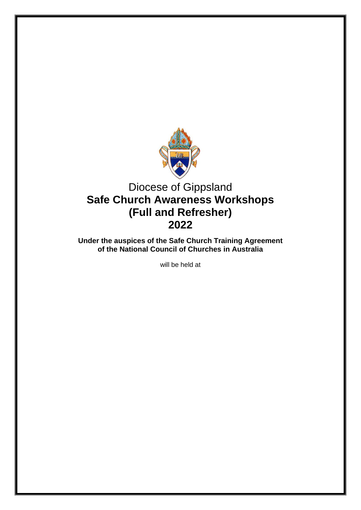

# Diocese of Gippsland **Safe Church Awareness Workshops (Full and Refresher) 2022**

**Under the auspices of the Safe Church Training Agreement of the National Council of Churches in Australia**

will be held at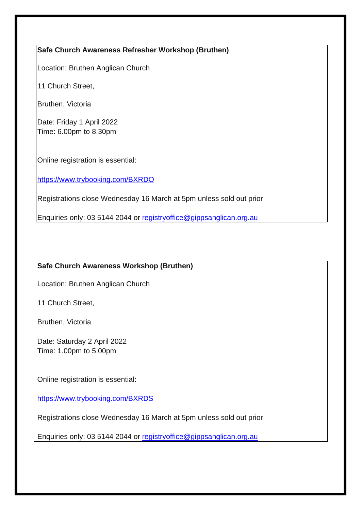#### **Safe Church Awareness Refresher Workshop (Bruthen)**

Location: Bruthen Anglican Church

11 Church Street,

Bruthen, Victoria

Date: Friday 1 April 2022 Time: 6.00pm to 8.30pm

Online registration is essential:

<https://www.trybooking.com/BXRDO>

Registrations close Wednesday 16 March at 5pm unless sold out prior

Enquiries only: 03 5144 2044 or [registryoffice@gippsanglican.org.au](mailto:registryoffice@gippsanglican.org.au)

#### **Safe Church Awareness Workshop (Bruthen)**

Location: Bruthen Anglican Church

11 Church Street,

Bruthen, Victoria

Date: Saturday 2 April 2022 Time: 1.00pm to 5.00pm

Online registration is essential:

<https://www.trybooking.com/BXRDS>

Registrations close Wednesday 16 March at 5pm unless sold out prior

Enquiries only: 03 5144 2044 or [registryoffice@gippsanglican.org.au](mailto:registryoffice@gippsanglican.org.au)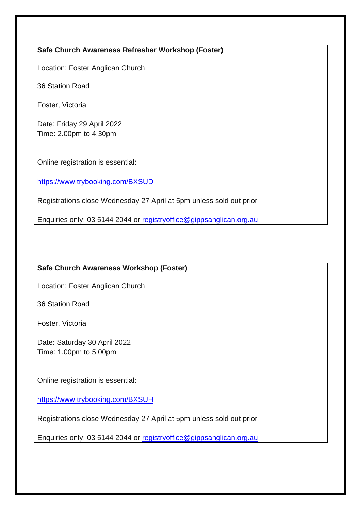## **Safe Church Awareness Refresher Workshop (Foster)**

Location: Foster Anglican Church

36 Station Road

Foster, Victoria

Date: Friday 29 April 2022 Time: 2.00pm to 4.30pm

Online registration is essential:

<https://www.trybooking.com/BXSUD>

Registrations close Wednesday 27 April at 5pm unless sold out prior

Enquiries only: 03 5144 2044 or [registryoffice@gippsanglican.org.au](mailto:registryoffice@gippsanglican.org.au)

# **Safe Church Awareness Workshop (Foster)**

Location: Foster Anglican Church

36 Station Road

Foster, Victoria

Date: Saturday 30 April 2022 Time: 1.00pm to 5.00pm

Online registration is essential:

<https://www.trybooking.com/BXSUH>

Registrations close Wednesday 27 April at 5pm unless sold out prior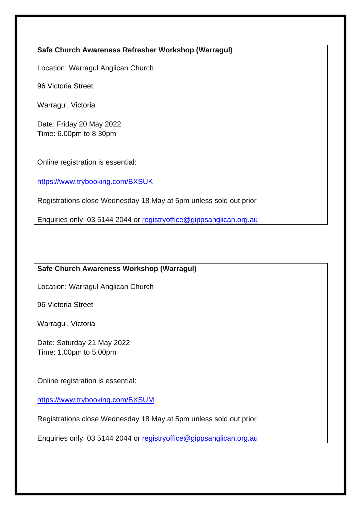#### **Safe Church Awareness Refresher Workshop (Warragul)**

Location: Warragul Anglican Church

96 Victoria Street

Warragul, Victoria

Date: Friday 20 May 2022 Time: 6.00pm to 8.30pm

Online registration is essential:

<https://www.trybooking.com/BXSUK>

Registrations close Wednesday 18 May at 5pm unless sold out prior

Enquiries only: 03 5144 2044 or [registryoffice@gippsanglican.org.au](mailto:registryoffice@gippsanglican.org.au)

# **Safe Church Awareness Workshop (Warragul)**

Location: Warragul Anglican Church

96 Victoria Street

Warragul, Victoria

Date: Saturday 21 May 2022 Time: 1.00pm to 5.00pm

Online registration is essential:

<https://www.trybooking.com/BXSUM>

Registrations close Wednesday 18 May at 5pm unless sold out prior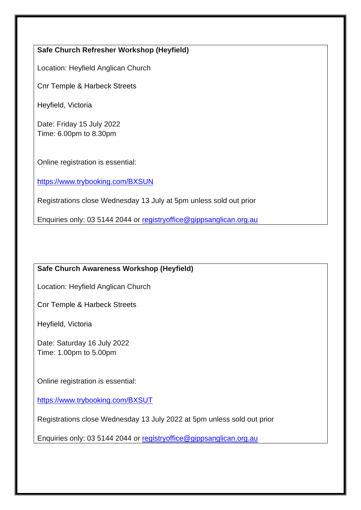# **Safe Church Refresher Workshop (Heyfield)**

Location: Heyfield Anglican Church

Cnr Temple & Harbeck Streets

Heyfield, Victoria

Date: Friday 15 July 2022 Time: 6.00pm to 8.30pm

Online registration is essential:

<https://www.trybooking.com/BXSUN>

Registrations close Wednesday 13 July at 5pm unless sold out prior

Enquiries only: 03 5144 2044 or [registryoffice@gippsanglican.org.au](mailto:registryoffice@gippsanglican.org.au)

# **Safe Church Awareness Workshop (Heyfield)**

Location: Heyfield Anglican Church

Cnr Temple & Harbeck Streets

Heyfield, Victoria

Date: Saturday 16 July 2022 Time: 1.00pm to 5.00pm

Online registration is essential:

<https://www.trybooking.com/BXSUT>

Registrations close Wednesday 13 July 2022 at 5pm unless sold out prior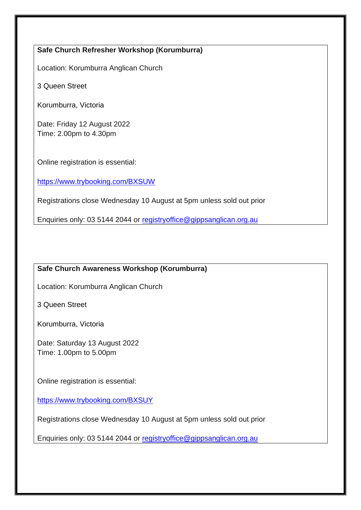## **Safe Church Refresher Workshop (Korumburra)**

Location: Korumburra Anglican Church

3 Queen Street

Korumburra, Victoria

Date: Friday 12 August 2022 Time: 2.00pm to 4.30pm

Online registration is essential:

<https://www.trybooking.com/BXSUW>

Registrations close Wednesday 10 August at 5pm unless sold out prior

Enquiries only: 03 5144 2044 or [registryoffice@gippsanglican.org.au](mailto:registryoffice@gippsanglican.org.au)

# **Safe Church Awareness Workshop (Korumburra)**

Location: Korumburra Anglican Church

3 Queen Street

Korumburra, Victoria

Date: Saturday 13 August 2022 Time: 1.00pm to 5.00pm

Online registration is essential:

<https://www.trybooking.com/BXSUY>

Registrations close Wednesday 10 August at 5pm unless sold out prior